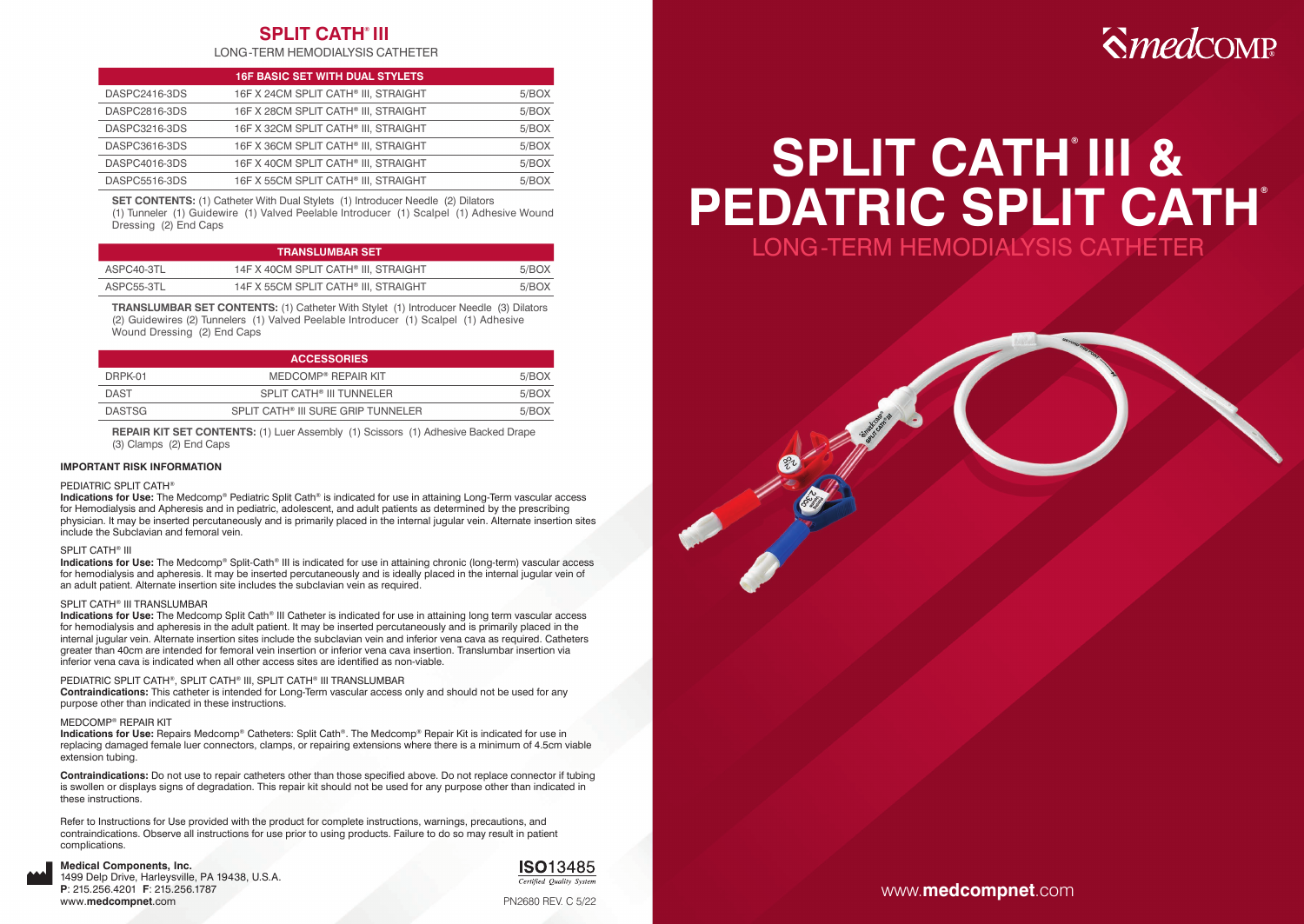## **SPLIT CATH® III**

LONG-TERM HEMODIALYSIS CATHETER

|               | <b>16F BASIC SET WITH DUAL STYLETS</b> |       |
|---------------|----------------------------------------|-------|
| DASPC2416-3DS | 16F X 24CM SPLIT CATH® III, STRAIGHT   | 5/BOX |
| DASPC2816-3DS | 16F X 28CM SPLIT CATH® III. STRAIGHT   | 5/BOX |
| DASPC3216-3DS | 16F X 32CM SPLIT CATH® III. STRAIGHT   | 5/BOX |
| DASPC3616-3DS | 16F X 36CM SPLIT CATH® III. STRAIGHT   | 5/BOX |
| DASPC4016-3DS | 16F X 40CM SPLIT CATH® III, STRAIGHT   | 5/BOX |
| DASPC5516-3DS | 16F X 55CM SPLIT CATH® III. STRAIGHT   | 5/BOX |

**SET CONTENTS:** (1) Catheter With Dual Stylets (1) Introducer Needle (2) Dilators

(1) Tunneler (1) Guidewire (1) Valved Peelable Introducer (1) Scalpel (1) Adhesive Wound Dressing (2) End Caps

| <b>TRANSLUMBAR SET</b> |                                                  |       |
|------------------------|--------------------------------------------------|-------|
| ASPC40-3TL             | 14F X 40CM SPLIT CATH <sup>®</sup> III. STRAIGHT | 5/BOX |
| ASPC55-3TL             | 14F X 55CM SPLIT CATH® III. STRAIGHT             | 5/BOX |

**TRANSLUMBAR SET CONTENTS:** (1) Catheter With Stylet (1) Introducer Needle (3) Dilators (2) Guidewires (2) Tunnelers (1) Valved Peelable Introducer (1) Scalpel (1) Adhesive Wound Dressing (2) End Caps

| <b>ACCESSORIES</b> |                                      |       |
|--------------------|--------------------------------------|-------|
| DRPK-01            | MEDCOMP <sup>®</sup> REPAIR KIT      | 5/BOX |
| <b>DAST</b>        | SPLIT CATH <sup>®</sup> III TUNNELER | 5/BOX |
| <b>DASTSG</b>      | SPI IT CATH® III SURE GRIP TUNNELER  | 5/BOX |

**REPAIR KIT SET CONTENTS:** (1) Luer Assembly (1) Scissors (1) Adhesive Backed Drape (3) Clamps (2) End Caps

#### **IMPORTANT RISK INFORMATION**

#### PEDIATRIC SPLIT CATH®

**Indications for Use:** The Medcomp® Pediatric Split Cath® is indicated for use in attaining Long-Term vascular access for Hemodialysis and Apheresis and in pediatric, adolescent, and adult patients as determined by the prescribing physician. It may be inserted percutaneously and is primarily placed in the internal jugular vein. Alternate insertion sites include the Subclavian and femoral vein.

#### SPLIT CATH® III

**Indications for Use:** The Medcomp® Split-Cath® III is indicated for use in attaining chronic (long-term) vascular access for hemodialysis and apheresis. It may be inserted percutaneously and is ideally placed in the internal jugular vein of an adult patient. Alternate insertion site includes the subclavian vein as required.

#### SPLIT CATH® III TRANSLUMBAR

**Indications for Use:** The Medcomp Split Cath® III Catheter is indicated for use in attaining long term vascular access for hemodialysis and apheresis in the adult patient. It may be inserted percutaneously and is primarily placed in the internal jugular vein. Alternate insertion sites include the subclavian vein and inferior vena cava as required. Catheters greater than 40cm are intended for femoral vein insertion or inferior vena cava insertion. Translumbar insertion via inferior vena cava is indicated when all other access sites are identified as non-viable.

#### PEDIATRIC SPLIT CATH®, SPLIT CATH® III, SPLIT CATH® III TRANSLUMBAR

**Contraindications:** This catheter is intended for Long-Term vascular access only and should not be used for any purpose other than indicated in these instructions.

#### MEDCOMP® REPAIR KIT

**Indications for Use:** Repairs Medcomp® Catheters: Split Cath®. The Medcomp® Repair Kit is indicated for use in replacing damaged female luer connectors, clamps, or repairing extensions where there is a minimum of 4.5cm viable extension tubing.

**Contraindications:** Do not use to repair catheters other than those specified above. Do not replace connector if tubing is swollen or displays signs of degradation. This repair kit should not be used for any purpose other than indicated in these instructions.

Refer to Instructions for Use provided with the product for complete instructions, warnings, precautions, and contraindications. Observe all instructions for use prior to using products. Failure to do so may result in patient complications.

#### **Medical Components, Inc.**

1499 Delp Drive, Harleysville, PA 19438, U.S.A. **P**: 215.256.4201 **F**: 215.256.1787 www.**medcompnet**.com



PN2680 REV. C 5/22

## **Smedcomp**

# **SPLIT CATH® III & PEDATRIC SPLIT CATH®**

LONG-TERM HEMODIALYSIS CATHETER

www.**medcompnet**.com